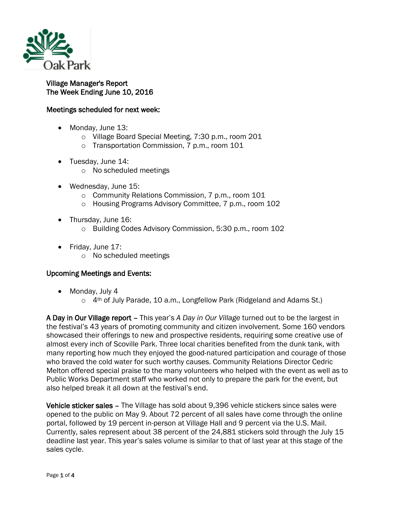

## Village Manager's Report The Week Ending June 10, 2016

## Meetings scheduled for next week:

- Monday, June 13:
	- o Village Board Special Meeting, 7:30 p.m., room 201
	- o Transportation Commission, 7 p.m., room 101
- Tuesday, June 14:
	- o No scheduled meetings
- Wednesday, June 15:
	- o Community Relations Commission, 7 p.m., room 101
	- o Housing Programs Advisory Committee, 7 p.m., room 102
- Thursday, June 16:
	- o Building Codes Advisory Commission, 5:30 p.m., room 102
- Friday, June 17:
	- o No scheduled meetings

## Upcoming Meetings and Events:

- Monday, July 4
	- o 4<sup>th</sup> of July Parade, 10 a.m., Longfellow Park (Ridgeland and Adams St.)

A Day in Our Village report – This year's *A Day in Our Village* turned out to be the largest in the festival's 43 years of promoting community and citizen involvement. Some 160 vendors showcased their offerings to new and prospective residents, requiring some creative use of almost every inch of Scoville Park. Three local charities benefited from the dunk tank, with many reporting how much they enjoyed the good-natured participation and courage of those who braved the cold water for such worthy causes. Community Relations Director Cedric Melton offered special praise to the many volunteers who helped with the event as well as to Public Works Department staff who worked not only to prepare the park for the event, but also helped break it all down at the festival's end.

Vehicle sticker sales – The Village has sold about 9,396 vehicle stickers since sales were opened to the public on May 9. About 72 percent of all sales have come through the online portal, followed by 19 percent in-person at Village Hall and 9 percent via the U.S. Mail. Currently, sales represent about 38 percent of the 24,881 stickers sold through the July 15 deadline last year. This year's sales volume is similar to that of last year at this stage of the sales cycle.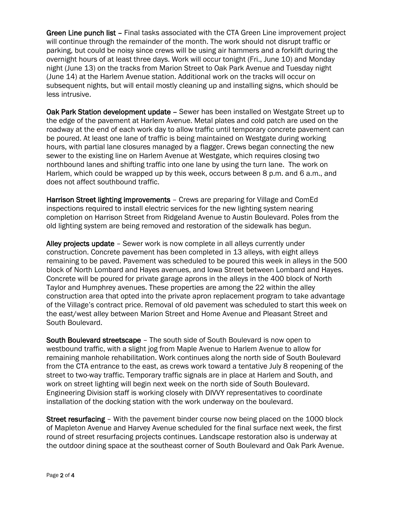Green Line punch list – Final tasks associated with the CTA Green Line improvement project will continue through the remainder of the month. The work should not disrupt traffic or parking, but could be noisy since crews will be using air hammers and a forklift during the overnight hours of at least three days. Work will occur tonight (Fri., June 10) and Monday night (June 13) on the tracks from Marion Street to Oak Park Avenue and Tuesday night (June 14) at the Harlem Avenue station. Additional work on the tracks will occur on subsequent nights, but will entail mostly cleaning up and installing signs, which should be less intrusive.

Oak Park Station development update – Sewer has been installed on Westgate Street up to the edge of the pavement at Harlem Avenue. Metal plates and cold patch are used on the roadway at the end of each work day to allow traffic until temporary concrete pavement can be poured. At least one lane of traffic is being maintained on Westgate during working hours, with partial lane closures managed by a flagger. Crews began connecting the new sewer to the existing line on Harlem Avenue at Westgate, which requires closing two northbound lanes and shifting traffic into one lane by using the turn lane. The work on Harlem, which could be wrapped up by this week, occurs between 8 p.m. and 6 a.m., and does not affect southbound traffic.

Harrison Street lighting improvements – Crews are preparing for Village and ComEd inspections required to install electric services for the new lighting system nearing completion on Harrison Street from Ridgeland Avenue to Austin Boulevard. Poles from the old lighting system are being removed and restoration of the sidewalk has begun.

Alley projects update – Sewer work is now complete in all alleys currently under construction. Concrete pavement has been completed in 13 alleys, with eight alleys remaining to be paved. Pavement was scheduled to be poured this week in alleys in the 500 block of North Lombard and Hayes avenues, and Iowa Street between Lombard and Hayes. Concrete will be poured for private garage aprons in the alleys in the 400 block of North Taylor and Humphrey avenues. These properties are among the 22 within the alley construction area that opted into the private apron replacement program to take advantage of the Village's contract price. Removal of old pavement was scheduled to start this week on the east/west alley between Marion Street and Home Avenue and Pleasant Street and South Boulevard.

South Boulevard streetscape – The south side of South Boulevard is now open to westbound traffic, with a slight jog from Maple Avenue to Harlem Avenue to allow for remaining manhole rehabilitation. Work continues along the north side of South Boulevard from the CTA entrance to the east, as crews work toward a tentative July 8 reopening of the street to two-way traffic. Temporary traffic signals are in place at Harlem and South, and work on street lighting will begin next week on the north side of South Boulevard. Engineering Division staff is working closely with DIVVY representatives to coordinate installation of the docking station with the work underway on the boulevard.

Street resurfacing – With the pavement binder course now being placed on the 1000 block of Mapleton Avenue and Harvey Avenue scheduled for the final surface next week, the first round of street resurfacing projects continues. Landscape restoration also is underway at the outdoor dining space at the southeast corner of South Boulevard and Oak Park Avenue.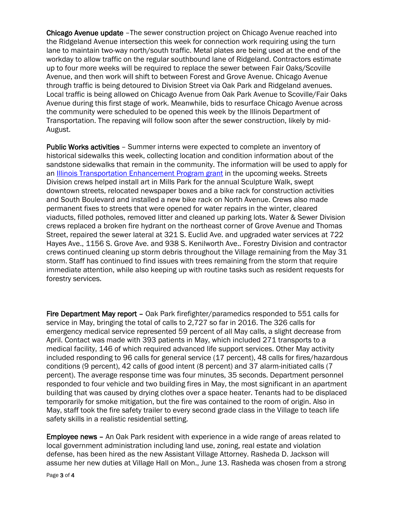Chicago Avenue update –The sewer construction project on Chicago Avenue reached into the Ridgeland Avenue intersection this week for connection work requiring using the turn lane to maintain two-way north/south traffic. Metal plates are being used at the end of the workday to allow traffic on the regular southbound lane of Ridgeland. Contractors estimate up to four more weeks will be required to replace the sewer between Fair Oaks/Scoville Avenue, and then work will shift to between Forest and Grove Avenue. Chicago Avenue through traffic is being detoured to Division Street via Oak Park and Ridgeland avenues. Local traffic is being allowed on Chicago Avenue from Oak Park Avenue to Scoville/Fair Oaks Avenue during this first stage of work. Meanwhile, bids to resurface Chicago Avenue across the community were scheduled to be opened this week by the Illinois Department of Transportation. The repaving will follow soon after the sewer construction, likely by mid-August.

Public Works activities – Summer interns were expected to complete an inventory of historical sidewalks this week, collecting location and condition information about of the sandstone sidewalks that remain in the community. The information will be used to apply for an [Illinois Transportation Enhancement Program grant](http://www.idot.illinois.gov/transportation-system/local-transportation-partners/county-engineers-and-local-public-agencies/funding-opportunities/ITEP) in the upcoming weeks. Streets Division crews helped install art in Mills Park for the annual Sculpture Walk, swept downtown streets, relocated newspaper boxes and a bike rack for construction activities and South Boulevard and installed a new bike rack on North Avenue. Crews also made permanent fixes to streets that were opened for water repairs in the winter, cleared viaducts, filled potholes, removed litter and cleaned up parking lots. Water & Sewer Division crews replaced a broken fire hydrant on the northeast corner of Grove Avenue and Thomas Street, repaired the sewer lateral at 321 S. Euclid Ave. and upgraded water services at 722 Hayes Ave., 1156 S. Grove Ave. and 938 S. Kenilworth Ave.. Forestry Division and contractor crews continued cleaning up storm debris throughout the Village remaining from the May 31 storm. Staff has continued to find issues with trees remaining from the storm that require immediate attention, while also keeping up with routine tasks such as resident requests for forestry services.

Fire Department May report – Oak Park firefighter/paramedics responded to 551 calls for service in May, bringing the total of calls to 2,727 so far in 2016. The 326 calls for emergency medical service represented 59 percent of all May calls, a slight decrease from April. Contact was made with 393 patients in May, which included 271 transports to a medical facility, 146 of which required advanced life support services. Other May activity included responding to 96 calls for general service (17 percent), 48 calls for fires/hazardous conditions (9 percent), 42 calls of good intent (8 percent) and 37 alarm-initiated calls (7 percent). The average response time was four minutes, 35 seconds. Department personnel responded to four vehicle and two building fires in May, the most significant in an apartment building that was caused by drying clothes over a space heater. Tenants had to be displaced temporarily for smoke mitigation, but the fire was contained to the room of origin. Also in May, staff took the fire safety trailer to every second grade class in the Village to teach life safety skills in a realistic residential setting.

Employee news – An Oak Park resident with experience in a wide range of areas related to local government administration including land use, zoning, real estate and violation defense, has been hired as the new Assistant Village Attorney. Rasheda D. Jackson will assume her new duties at Village Hall on Mon., June 13. Rasheda was chosen from a strong